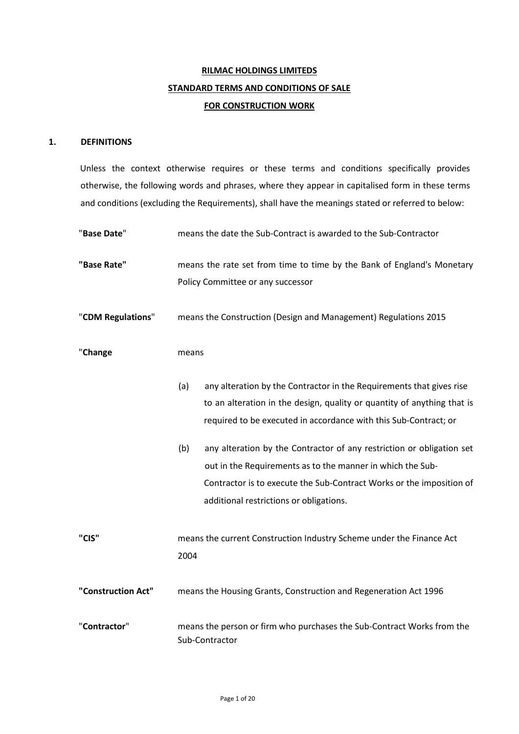# **RILMAC HOLDINGS LIMITEDS STANDARD TERMS AND CONDITIONS OF SALE FOR CONSTRUCTION WORK**

## **1. DEFINITIONS**

Unless the context otherwise requires or these terms and conditions specifically provides otherwise, the following words and phrases, where they appear in capitalised form in these terms and conditions (excluding the Requirements), shall have the meanings stated or referred to below:

| "Base Date"        |       | means the date the Sub-Contract is awarded to the Sub-Contractor                         |
|--------------------|-------|------------------------------------------------------------------------------------------|
| "Base Rate"        |       | means the rate set from time to time by the Bank of England's Monetary                   |
|                    |       | Policy Committee or any successor                                                        |
|                    |       |                                                                                          |
| "CDM Regulations"  |       | means the Construction (Design and Management) Regulations 2015                          |
|                    |       |                                                                                          |
|                    |       |                                                                                          |
| "Change            | means |                                                                                          |
|                    |       |                                                                                          |
|                    | (a)   | any alteration by the Contractor in the Requirements that gives rise                     |
|                    |       | to an alteration in the design, quality or quantity of anything that is                  |
|                    |       | required to be executed in accordance with this Sub-Contract; or                         |
|                    |       |                                                                                          |
|                    | (b)   | any alteration by the Contractor of any restriction or obligation set                    |
|                    |       | out in the Requirements as to the manner in which the Sub-                               |
|                    |       | Contractor is to execute the Sub-Contract Works or the imposition of                     |
|                    |       | additional restrictions or obligations.                                                  |
|                    |       |                                                                                          |
| "CIS"              |       | means the current Construction Industry Scheme under the Finance Act                     |
|                    | 2004  |                                                                                          |
|                    |       |                                                                                          |
| "Construction Act" |       | means the Housing Grants, Construction and Regeneration Act 1996                         |
|                    |       |                                                                                          |
|                    |       |                                                                                          |
| "Contractor"       |       | means the person or firm who purchases the Sub-Contract Works from the<br>Sub-Contractor |
|                    |       |                                                                                          |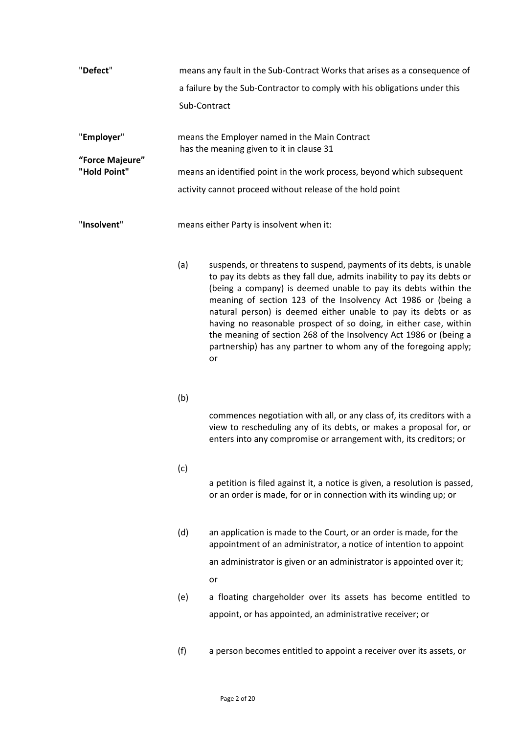| "Defect"        | means any fault in the Sub-Contract Works that arises as a consequence of |  |  |
|-----------------|---------------------------------------------------------------------------|--|--|
|                 | a failure by the Sub-Contractor to comply with his obligations under this |  |  |
|                 | Sub-Contract                                                              |  |  |
| "Employer"      | means the Employer named in the Main Contract                             |  |  |
|                 | has the meaning given to it in clause 31                                  |  |  |
| "Force Majeure" |                                                                           |  |  |
| "Hold Point"    | means an identified point in the work process, beyond which subsequent    |  |  |
|                 | activity cannot proceed without release of the hold point                 |  |  |
| "Insolvent"     | means either Party is insolvent when it:                                  |  |  |

- (a) suspends, or threatens to suspend, payments of its debts, is unable to pay its debts as they fall due, admits inability to pay its debts or (being a company) is deemed unable to pay its debts within the meaning of section 123 of the Insolvency Act 1986 or (being a natural person) is deemed either unable to pay its debts or as having no reasonable prospect of so doing, in either case, within the meaning of section 268 of the Insolvency Act 1986 or (being a partnership) has any partner to whom any of the foregoing apply; or
- (b)

commences negotiation with all, or any class of, its creditors with a view to rescheduling any of its debts, or makes a proposal for, or enters into any compromise or arrangement with, its creditors; or

(c)

a petition is filed against it, a notice is given, a resolution is passed, or an order is made, for or in connection with its winding up; or

- (d) an application is made to the Court, or an order is made, for the appointment of an administrator, a notice of intention to appoint an administrator is given or an administrator is appointed over it; or
- (e) a floating chargeholder over its assets has become entitled to appoint, or has appointed, an administrative receiver; or
- (f) a person becomes entitled to appoint a receiver over its assets, or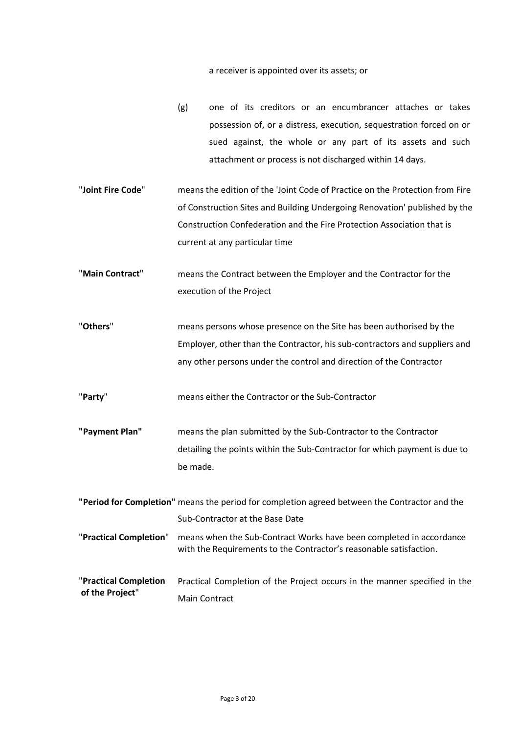a receiver is appointed over its assets; or

- (g) one of its creditors or an encumbrancer attaches or takes possession of, or a distress, execution, sequestration forced on or sued against, the whole or any part of its assets and such attachment or process is not discharged within 14 days.
- "**Joint Fire Code**" means the edition of the 'Joint Code of Practice on the Protection from Fire of Construction Sites and Building Undergoing Renovation' published by the Construction Confederation and the Fire Protection Association that is current at any particular time
- "**Main Contract**" means the Contract between the Employer and the Contractor for the execution of the Project

"**Others**" means persons whose presence on the Site has been authorised by the Employer, other than the Contractor, his sub-contractors and suppliers and any other persons under the control and direction of the Contractor

"**Party**" means either the Contractor or the Sub-Contractor

- **"Payment Plan"** means the plan submitted by the Sub-Contractor to the Contractor detailing the points within the Sub-Contractor for which payment is due to be made.
- **"Period for Completion"** means the period for completion agreed between the Contractor and the Sub-Contractor at the Base Date "**Practical Completion**" means when the Sub-Contract Works have been completed in accordance with the Requirements to the Contractor's reasonable satisfaction. "**Practical Completion of the Project**" Practical Completion of the Project occurs in the manner specified in the Main Contract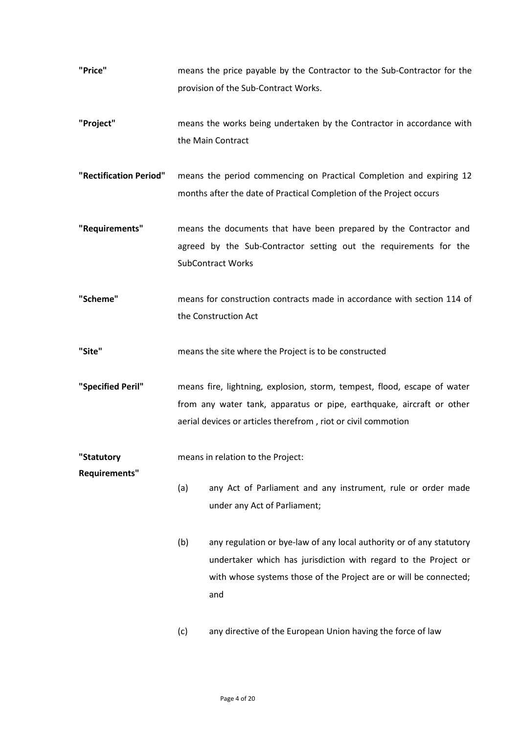- **"Price"** means the price payable by the Contractor to the Sub-Contractor for the provision of the Sub-Contract Works.
- **"Project"** means the works being undertaken by the Contractor in accordance with the Main Contract
- **"Rectification Period"** means the period commencing on Practical Completion and expiring 12 months after the date of Practical Completion of the Project occurs
- **"Requirements"** means the documents that have been prepared by the Contractor and agreed by the Sub-Contractor setting out the requirements for the SubContract Works
- **"Scheme"** means for construction contracts made in accordance with section 114 of the Construction Act
- **"Site"** means the site where the Project is to be constructed
- **"Specified Peril"** means fire, lightning, explosion, storm, tempest, flood, escape of water from any water tank, apparatus or pipe, earthquake, aircraft or other aerial devices or articles therefrom , riot or civil commotion

**"Statutory**  means in relation to the Project:

**Requirements"** 

- (a) any Act of Parliament and any instrument, rule or order made under any Act of Parliament;
- (b) any regulation or bye-law of any local authority or of any statutory undertaker which has jurisdiction with regard to the Project or with whose systems those of the Project are or will be connected; and
- (c) any directive of the European Union having the force of law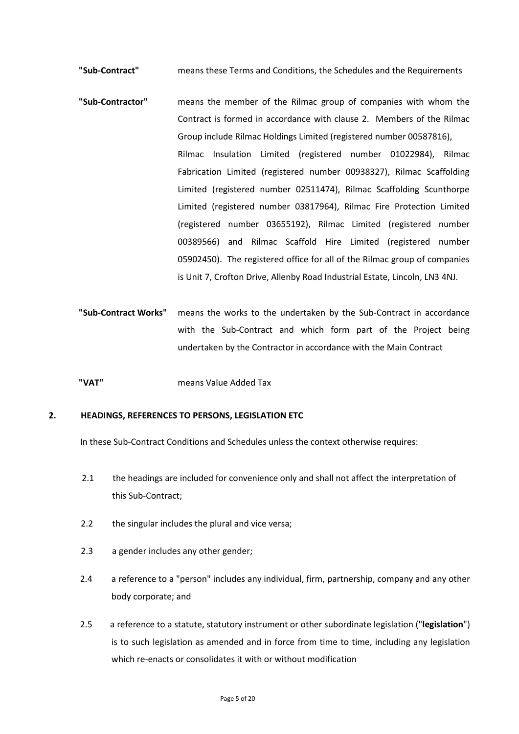**"Sub-Contract"** means these Terms and Conditions, the Schedules and the Requirements

- **"Sub-Contractor"** means the member of the Rilmac group of companies with whom the Contract is formed in accordance with clause 2. Members of the Rilmac Group include Rilmac Holdings Limited (registered number 00587816), Rilmac Insulation Limited (registered number 01022984), Rilmac Fabrication Limited (registered number 00938327), Rilmac Scaffolding Limited (registered number 02511474), Rilmac Scaffolding Scunthorpe Limited (registered number 03817964), Rilmac Fire Protection Limited (registered number 03655192), Rilmac Limited (registered number 00389566) and Rilmac Scaffold Hire Limited (registered number 05902450). The registered office for all of the Rilmac group of companies is Unit 7, Crofton Drive, Allenby Road Industrial Estate, Lincoln, LN3 4NJ.
- **"Sub-Contract Works"** means the works to the undertaken by the Sub-Contract in accordance with the Sub-Contract and which form part of the Project being undertaken by the Contractor in accordance with the Main Contract
- **"VAT"** means Value Added Tax

# **2. HEADINGS, REFERENCES TO PERSONS, LEGISLATION ETC**

In these Sub-Contract Conditions and Schedules unless the context otherwise requires:

- 2.1 the headings are included for convenience only and shall not affect the interpretation of this Sub-Contract;
- 2.2 the singular includes the plural and vice versa;
- 2.3 a gender includes any other gender;
- 2.4 a reference to a "person" includes any individual, firm, partnership, company and any other body corporate; and
- 2.5 a reference to a statute, statutory instrument or other subordinate legislation ("**legislation**") is to such legislation as amended and in force from time to time, including any legislation which re-enacts or consolidates it with or without modification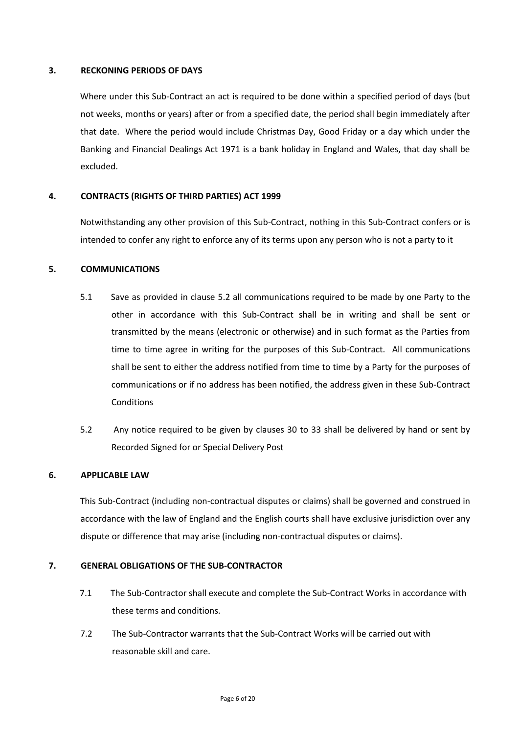## **3. RECKONING PERIODS OF DAYS**

Where under this Sub-Contract an act is required to be done within a specified period of days (but not weeks, months or years) after or from a specified date, the period shall begin immediately after that date. Where the period would include Christmas Day, Good Friday or a day which under the Banking and Financial Dealings Act 1971 is a bank holiday in England and Wales, that day shall be excluded.

## **4. CONTRACTS (RIGHTS OF THIRD PARTIES) ACT 1999**

Notwithstanding any other provision of this Sub-Contract, nothing in this Sub-Contract confers or is intended to confer any right to enforce any of its terms upon any person who is not a party to it

## **5. COMMUNICATIONS**

- 5.1 Save as provided in clause 5.2 all communications required to be made by one Party to the other in accordance with this Sub-Contract shall be in writing and shall be sent or transmitted by the means (electronic or otherwise) and in such format as the Parties from time to time agree in writing for the purposes of this Sub-Contract. All communications shall be sent to either the address notified from time to time by a Party for the purposes of communications or if no address has been notified, the address given in these Sub-Contract Conditions
- 5.2 Any notice required to be given by clauses 30 to 33 shall be delivered by hand or sent by Recorded Signed for or Special Delivery Post

## **6. APPLICABLE LAW**

This Sub-Contract (including non-contractual disputes or claims) shall be governed and construed in accordance with the law of England and the English courts shall have exclusive jurisdiction over any dispute or difference that may arise (including non-contractual disputes or claims).

## **7. GENERAL OBLIGATIONS OF THE SUB-CONTRACTOR**

- 7.1 The Sub-Contractor shall execute and complete the Sub-Contract Works in accordance with these terms and conditions.
- 7.2 The Sub-Contractor warrants that the Sub-Contract Works will be carried out with reasonable skill and care.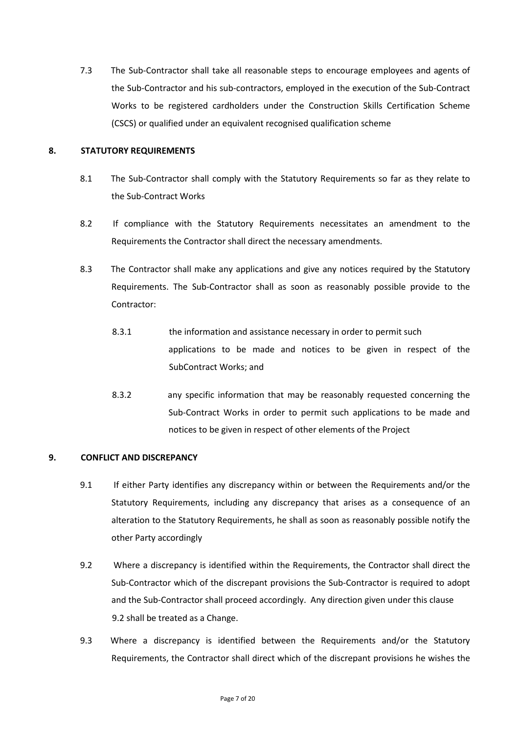7.3 The Sub-Contractor shall take all reasonable steps to encourage employees and agents of the Sub-Contractor and his sub-contractors, employed in the execution of the Sub-Contract Works to be registered cardholders under the Construction Skills Certification Scheme (CSCS) or qualified under an equivalent recognised qualification scheme

## **8. STATUTORY REQUIREMENTS**

- 8.1 The Sub-Contractor shall comply with the Statutory Requirements so far as they relate to the Sub-Contract Works
- 8.2 If compliance with the Statutory Requirements necessitates an amendment to the Requirements the Contractor shall direct the necessary amendments.
- 8.3 The Contractor shall make any applications and give any notices required by the Statutory Requirements. The Sub-Contractor shall as soon as reasonably possible provide to the Contractor:
	- 8.3.1 the information and assistance necessary in order to permit such applications to be made and notices to be given in respect of the SubContract Works; and
	- 8.3.2 any specific information that may be reasonably requested concerning the Sub-Contract Works in order to permit such applications to be made and notices to be given in respect of other elements of the Project

# **9. CONFLICT AND DISCREPANCY**

- 9.1 If either Party identifies any discrepancy within or between the Requirements and/or the Statutory Requirements, including any discrepancy that arises as a consequence of an alteration to the Statutory Requirements, he shall as soon as reasonably possible notify the other Party accordingly
- 9.2 Where a discrepancy is identified within the Requirements, the Contractor shall direct the Sub-Contractor which of the discrepant provisions the Sub-Contractor is required to adopt and the Sub-Contractor shall proceed accordingly. Any direction given under this clause 9.2 shall be treated as a Change.
- 9.3 Where a discrepancy is identified between the Requirements and/or the Statutory Requirements, the Contractor shall direct which of the discrepant provisions he wishes the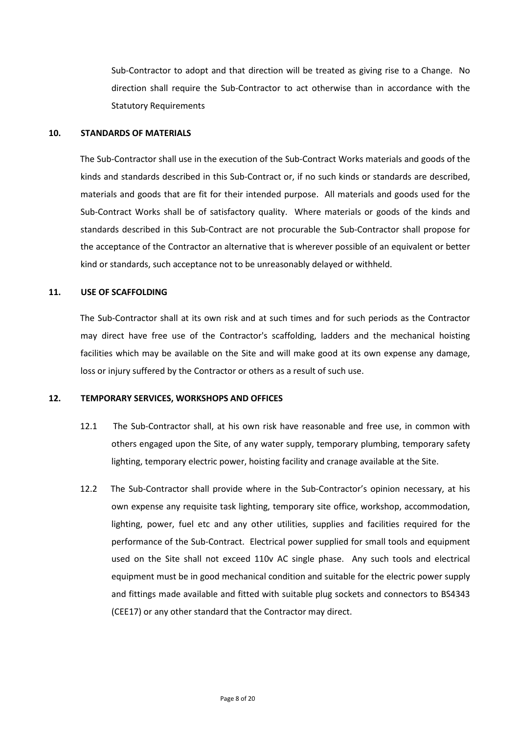Sub-Contractor to adopt and that direction will be treated as giving rise to a Change. No direction shall require the Sub-Contractor to act otherwise than in accordance with the Statutory Requirements

### **10. STANDARDS OF MATERIALS**

The Sub-Contractor shall use in the execution of the Sub-Contract Works materials and goods of the kinds and standards described in this Sub-Contract or, if no such kinds or standards are described, materials and goods that are fit for their intended purpose. All materials and goods used for the Sub-Contract Works shall be of satisfactory quality. Where materials or goods of the kinds and standards described in this Sub-Contract are not procurable the Sub-Contractor shall propose for the acceptance of the Contractor an alternative that is wherever possible of an equivalent or better kind or standards, such acceptance not to be unreasonably delayed or withheld.

## **11. USE OF SCAFFOLDING**

The Sub-Contractor shall at its own risk and at such times and for such periods as the Contractor may direct have free use of the Contractor's scaffolding, ladders and the mechanical hoisting facilities which may be available on the Site and will make good at its own expense any damage, loss or injury suffered by the Contractor or others as a result of such use.

#### **12. TEMPORARY SERVICES, WORKSHOPS AND OFFICES**

- 12.1 The Sub-Contractor shall, at his own risk have reasonable and free use, in common with others engaged upon the Site, of any water supply, temporary plumbing, temporary safety lighting, temporary electric power, hoisting facility and cranage available at the Site.
- 12.2 The Sub-Contractor shall provide where in the Sub-Contractor's opinion necessary, at his own expense any requisite task lighting, temporary site office, workshop, accommodation, lighting, power, fuel etc and any other utilities, supplies and facilities required for the performance of the Sub-Contract. Electrical power supplied for small tools and equipment used on the Site shall not exceed 110v AC single phase. Any such tools and electrical equipment must be in good mechanical condition and suitable for the electric power supply and fittings made available and fitted with suitable plug sockets and connectors to BS4343 (CEE17) or any other standard that the Contractor may direct.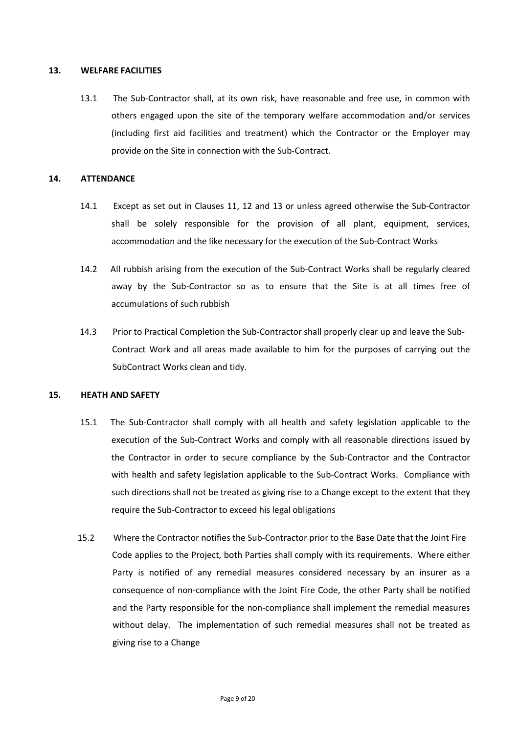#### **13. WELFARE FACILITIES**

13.1 The Sub-Contractor shall, at its own risk, have reasonable and free use, in common with others engaged upon the site of the temporary welfare accommodation and/or services (including first aid facilities and treatment) which the Contractor or the Employer may provide on the Site in connection with the Sub-Contract.

#### **14. ATTENDANCE**

- 14.1 Except as set out in Clauses 11, 12 and 13 or unless agreed otherwise the Sub-Contractor shall be solely responsible for the provision of all plant, equipment, services, accommodation and the like necessary for the execution of the Sub-Contract Works
- 14.2 All rubbish arising from the execution of the Sub-Contract Works shall be regularly cleared away by the Sub-Contractor so as to ensure that the Site is at all times free of accumulations of such rubbish
- 14.3 Prior to Practical Completion the Sub-Contractor shall properly clear up and leave the Sub-Contract Work and all areas made available to him for the purposes of carrying out the SubContract Works clean and tidy.

## **15. HEATH AND SAFETY**

- 15.1 The Sub-Contractor shall comply with all health and safety legislation applicable to the execution of the Sub-Contract Works and comply with all reasonable directions issued by the Contractor in order to secure compliance by the Sub-Contractor and the Contractor with health and safety legislation applicable to the Sub-Contract Works. Compliance with such directions shall not be treated as giving rise to a Change except to the extent that they require the Sub-Contractor to exceed his legal obligations
- 15.2 Where the Contractor notifies the Sub-Contractor prior to the Base Date that the Joint Fire Code applies to the Project, both Parties shall comply with its requirements. Where either Party is notified of any remedial measures considered necessary by an insurer as a consequence of non-compliance with the Joint Fire Code, the other Party shall be notified and the Party responsible for the non-compliance shall implement the remedial measures without delay. The implementation of such remedial measures shall not be treated as giving rise to a Change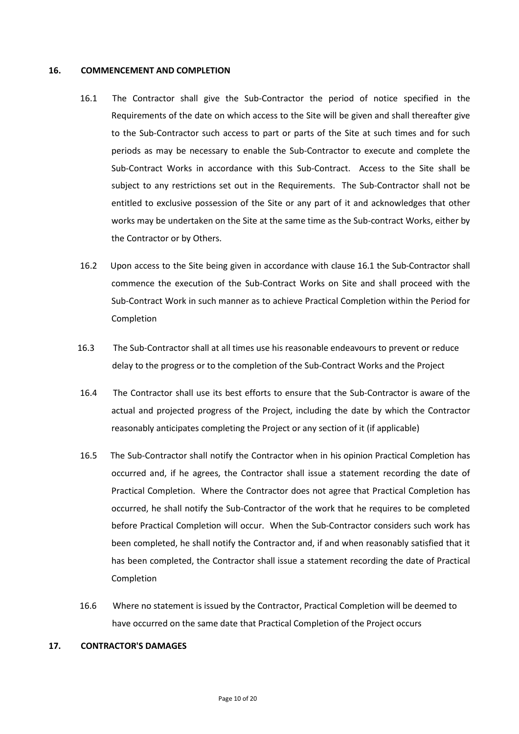#### **16. COMMENCEMENT AND COMPLETION**

- 16.1 The Contractor shall give the Sub-Contractor the period of notice specified in the Requirements of the date on which access to the Site will be given and shall thereafter give to the Sub-Contractor such access to part or parts of the Site at such times and for such periods as may be necessary to enable the Sub-Contractor to execute and complete the Sub-Contract Works in accordance with this Sub-Contract. Access to the Site shall be subject to any restrictions set out in the Requirements. The Sub-Contractor shall not be entitled to exclusive possession of the Site or any part of it and acknowledges that other works may be undertaken on the Site at the same time as the Sub-contract Works, either by the Contractor or by Others.
- 16.2 Upon access to the Site being given in accordance with clause 16.1 the Sub-Contractor shall commence the execution of the Sub-Contract Works on Site and shall proceed with the Sub-Contract Work in such manner as to achieve Practical Completion within the Period for Completion
- 16.3 The Sub-Contractor shall at all times use his reasonable endeavours to prevent or reduce delay to the progress or to the completion of the Sub-Contract Works and the Project
- 16.4 The Contractor shall use its best efforts to ensure that the Sub-Contractor is aware of the actual and projected progress of the Project, including the date by which the Contractor reasonably anticipates completing the Project or any section of it (if applicable)
- 16.5 The Sub-Contractor shall notify the Contractor when in his opinion Practical Completion has occurred and, if he agrees, the Contractor shall issue a statement recording the date of Practical Completion. Where the Contractor does not agree that Practical Completion has occurred, he shall notify the Sub-Contractor of the work that he requires to be completed before Practical Completion will occur. When the Sub-Contractor considers such work has been completed, he shall notify the Contractor and, if and when reasonably satisfied that it has been completed, the Contractor shall issue a statement recording the date of Practical Completion
- 16.6 Where no statement is issued by the Contractor, Practical Completion will be deemed to have occurred on the same date that Practical Completion of the Project occurs

#### **17. CONTRACTOR'S DAMAGES**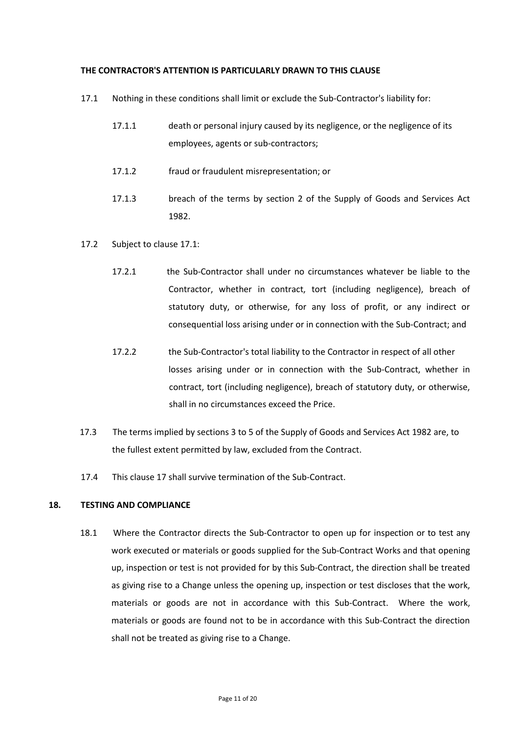#### **THE CONTRACTOR'S ATTENTION IS PARTICULARLY DRAWN TO THIS CLAUSE**

- 17.1 Nothing in these conditions shall limit or exclude the Sub-Contractor's liability for:
	- 17.1.1 death or personal injury caused by its negligence, or the negligence of its employees, agents or sub-contractors;
	- 17.1.2 fraud or fraudulent misrepresentation; or
	- 17.1.3 breach of the terms by section 2 of the Supply of Goods and Services Act 1982.
- 17.2 Subject to clause 17.1:
	- 17.2.1 the Sub-Contractor shall under no circumstances whatever be liable to the Contractor, whether in contract, tort (including negligence), breach of statutory duty, or otherwise, for any loss of profit, or any indirect or consequential loss arising under or in connection with the Sub-Contract; and
	- 17.2.2 the Sub-Contractor's total liability to the Contractor in respect of all other losses arising under or in connection with the Sub-Contract, whether in contract, tort (including negligence), breach of statutory duty, or otherwise, shall in no circumstances exceed the Price.
- 17.3 The terms implied by sections 3 to 5 of the Supply of Goods and Services Act 1982 are, to the fullest extent permitted by law, excluded from the Contract.
- 17.4 This clause 17 shall survive termination of the Sub-Contract.

#### **18. TESTING AND COMPLIANCE**

18.1 Where the Contractor directs the Sub-Contractor to open up for inspection or to test any work executed or materials or goods supplied for the Sub-Contract Works and that opening up, inspection or test is not provided for by this Sub-Contract, the direction shall be treated as giving rise to a Change unless the opening up, inspection or test discloses that the work, materials or goods are not in accordance with this Sub-Contract. Where the work, materials or goods are found not to be in accordance with this Sub-Contract the direction shall not be treated as giving rise to a Change.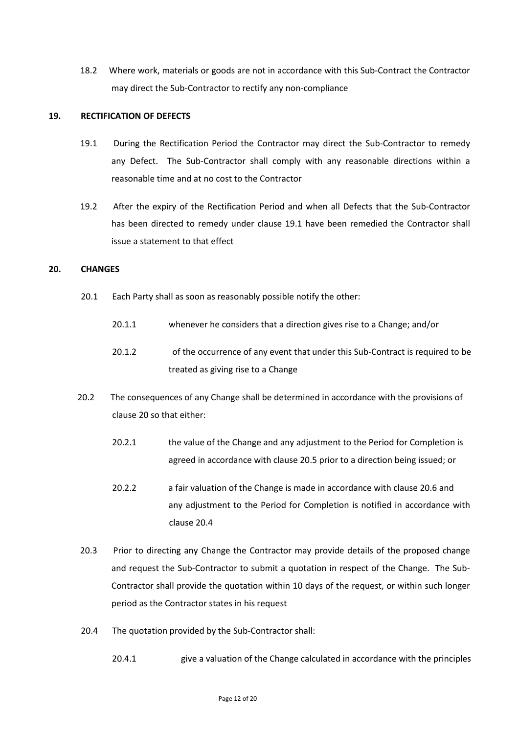18.2 Where work, materials or goods are not in accordance with this Sub-Contract the Contractor may direct the Sub-Contractor to rectify any non-compliance

## **19. RECTIFICATION OF DEFECTS**

- 19.1 During the Rectification Period the Contractor may direct the Sub-Contractor to remedy any Defect. The Sub-Contractor shall comply with any reasonable directions within a reasonable time and at no cost to the Contractor
- 19.2 After the expiry of the Rectification Period and when all Defects that the Sub-Contractor has been directed to remedy under clause 19.1 have been remedied the Contractor shall issue a statement to that effect

#### **20. CHANGES**

- 20.1 Each Party shall as soon as reasonably possible notify the other:
	- 20.1.1 whenever he considers that a direction gives rise to a Change; and/or
	- 20.1.2 of the occurrence of any event that under this Sub-Contract is required to be treated as giving rise to a Change
- 20.2 The consequences of any Change shall be determined in accordance with the provisions of clause 20 so that either:
	- 20.2.1 the value of the Change and any adjustment to the Period for Completion is agreed in accordance with clause 20.5 prior to a direction being issued; or
	- 20.2.2 a fair valuation of the Change is made in accordance with clause 20.6 and any adjustment to the Period for Completion is notified in accordance with clause 20.4
- 20.3 Prior to directing any Change the Contractor may provide details of the proposed change and request the Sub-Contractor to submit a quotation in respect of the Change. The Sub-Contractor shall provide the quotation within 10 days of the request, or within such longer period as the Contractor states in his request
- 20.4 The quotation provided by the Sub-Contractor shall:
	- 20.4.1 give a valuation of the Change calculated in accordance with the principles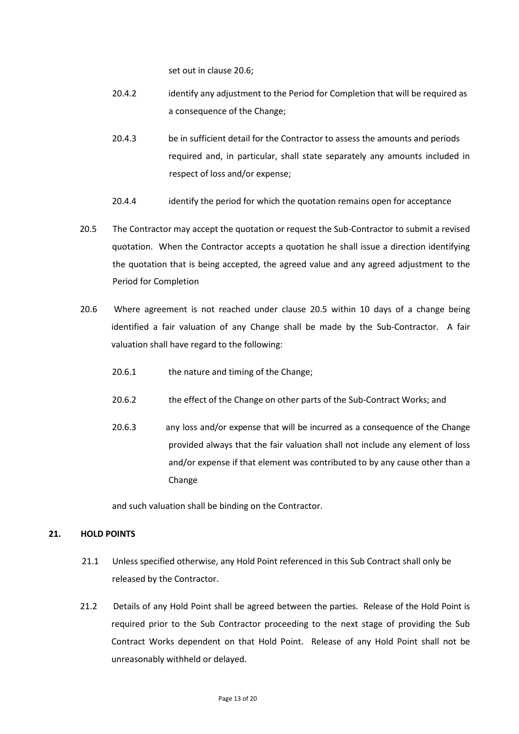set out in clause 20.6;

- 20.4.2 identify any adjustment to the Period for Completion that will be required as a consequence of the Change;
- 20.4.3 be in sufficient detail for the Contractor to assess the amounts and periods required and, in particular, shall state separately any amounts included in respect of loss and/or expense;
- 20.4.4 identify the period for which the quotation remains open for acceptance
- 20.5 The Contractor may accept the quotation or request the Sub-Contractor to submit a revised quotation. When the Contractor accepts a quotation he shall issue a direction identifying the quotation that is being accepted, the agreed value and any agreed adjustment to the Period for Completion
- 20.6 Where agreement is not reached under clause 20.5 within 10 days of a change being identified a fair valuation of any Change shall be made by the Sub-Contractor. A fair valuation shall have regard to the following:
	- 20.6.1 the nature and timing of the Change;
	- 20.6.2 the effect of the Change on other parts of the Sub-Contract Works; and
	- 20.6.3 any loss and/or expense that will be incurred as a consequence of the Change provided always that the fair valuation shall not include any element of loss and/or expense if that element was contributed to by any cause other than a Change

and such valuation shall be binding on the Contractor.

## **21. HOLD POINTS**

- 21.1 Unless specified otherwise, any Hold Point referenced in this Sub Contract shall only be released by the Contractor.
- 21.2 Details of any Hold Point shall be agreed between the parties. Release of the Hold Point is required prior to the Sub Contractor proceeding to the next stage of providing the Sub Contract Works dependent on that Hold Point. Release of any Hold Point shall not be unreasonably withheld or delayed.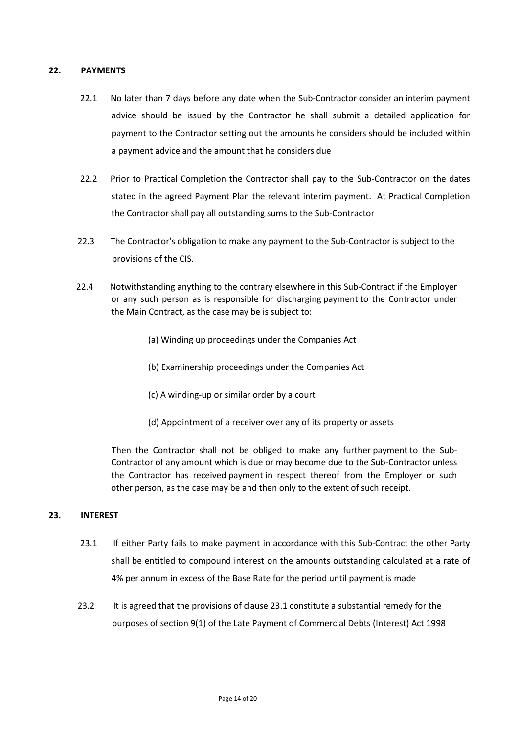## **22. PAYMENTS**

- 22.1 No later than 7 days before any date when the Sub-Contractor consider an interim payment advice should be issued by the Contractor he shall submit a detailed application for payment to the Contractor setting out the amounts he considers should be included within a payment advice and the amount that he considers due
- 22.2 Prior to Practical Completion the Contractor shall pay to the Sub-Contractor on the dates stated in the agreed Payment Plan the relevant interim payment. At Practical Completion the Contractor shall pay all outstanding sums to the Sub-Contractor
- 22.3 The Contractor's obligation to make any payment to the Sub-Contractor is subject to the provisions of the CIS.
- 22.4 Notwithstanding anything to the contrary elsewhere in this Sub-Contract if the Employer or any such person as is responsible for discharging payment to the Contractor under the Main Contract, as the case may be is subject to:
	- (a) Winding up proceedings under the Companies Act
	- (b) Examinership proceedings under the Companies Act
	- (c) A winding-up or similar order by a court
	- (d) Appointment of a receiver over any of its property or assets

 Then the Contractor shall not be obliged to make any further payment to the Sub-Contractor of any amount which is due or may become due to the Sub-Contractor unless the Contractor has received payment in respect thereof from the Employer or such other person, as the case may be and then only to the extent of such receipt.

## **23. INTEREST**

- 23.1 If either Party fails to make payment in accordance with this Sub-Contract the other Party shall be entitled to compound interest on the amounts outstanding calculated at a rate of 4% per annum in excess of the Base Rate for the period until payment is made
- 23.2 It is agreed that the provisions of clause 23.1 constitute a substantial remedy for the purposes of section 9(1) of the Late Payment of Commercial Debts (Interest) Act 1998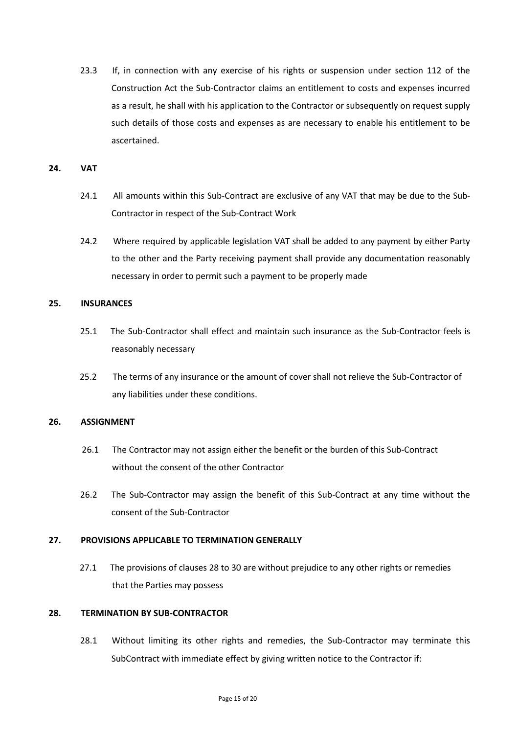23.3 If, in connection with any exercise of his rights or suspension under section 112 of the Construction Act the Sub-Contractor claims an entitlement to costs and expenses incurred as a result, he shall with his application to the Contractor or subsequently on request supply such details of those costs and expenses as are necessary to enable his entitlement to be ascertained.

#### **24. VAT**

- 24.1 All amounts within this Sub-Contract are exclusive of any VAT that may be due to the Sub-Contractor in respect of the Sub-Contract Work
- 24.2 Where required by applicable legislation VAT shall be added to any payment by either Party to the other and the Party receiving payment shall provide any documentation reasonably necessary in order to permit such a payment to be properly made

## **25. INSURANCES**

- 25.1 The Sub-Contractor shall effect and maintain such insurance as the Sub-Contractor feels is reasonably necessary
- 25.2 The terms of any insurance or the amount of cover shall not relieve the Sub-Contractor of any liabilities under these conditions.

## **26. ASSIGNMENT**

- 26.1 The Contractor may not assign either the benefit or the burden of this Sub-Contract without the consent of the other Contractor
- 26.2 The Sub-Contractor may assign the benefit of this Sub-Contract at any time without the consent of the Sub-Contractor

## **27. PROVISIONS APPLICABLE TO TERMINATION GENERALLY**

27.1 The provisions of clauses 28 to 30 are without prejudice to any other rights or remedies that the Parties may possess

## **28. TERMINATION BY SUB-CONTRACTOR**

28.1 Without limiting its other rights and remedies, the Sub-Contractor may terminate this SubContract with immediate effect by giving written notice to the Contractor if: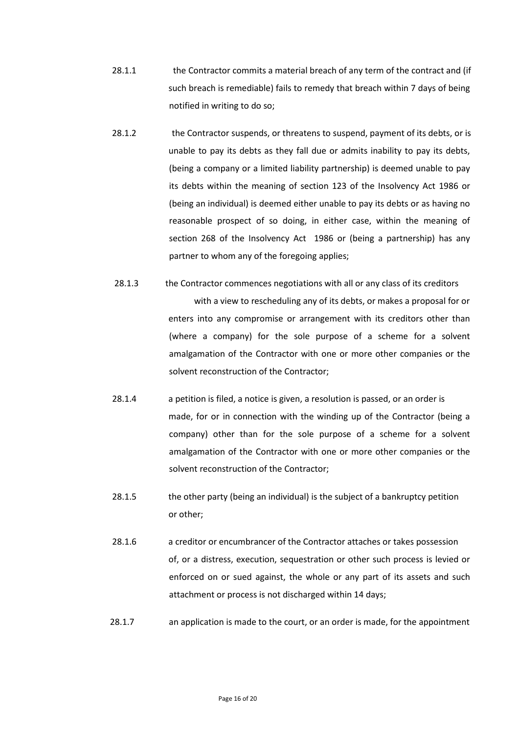- 28.1.1 the Contractor commits a material breach of any term of the contract and (if such breach is remediable) fails to remedy that breach within 7 days of being notified in writing to do so;
- 28.1.2 the Contractor suspends, or threatens to suspend, payment of its debts, or is unable to pay its debts as they fall due or admits inability to pay its debts, (being a company or a limited liability partnership) is deemed unable to pay its debts within the meaning of section 123 of the Insolvency Act 1986 or (being an individual) is deemed either unable to pay its debts or as having no reasonable prospect of so doing, in either case, within the meaning of section 268 of the Insolvency Act 1986 or (being a partnership) has any partner to whom any of the foregoing applies;
- 28.1.3 the Contractor commences negotiations with all or any class of its creditors with a view to rescheduling any of its debts, or makes a proposal for or

enters into any compromise or arrangement with its creditors other than (where a company) for the sole purpose of a scheme for a solvent amalgamation of the Contractor with one or more other companies or the solvent reconstruction of the Contractor;

- 28.1.4 a petition is filed, a notice is given, a resolution is passed, or an order is made, for or in connection with the winding up of the Contractor (being a company) other than for the sole purpose of a scheme for a solvent amalgamation of the Contractor with one or more other companies or the solvent reconstruction of the Contractor;
- 28.1.5 the other party (being an individual) is the subject of a bankruptcy petition or other;
- 28.1.6 a creditor or encumbrancer of the Contractor attaches or takes possession of, or a distress, execution, sequestration or other such process is levied or enforced on or sued against, the whole or any part of its assets and such attachment or process is not discharged within 14 days;
- 28.1.7 an application is made to the court, or an order is made, for the appointment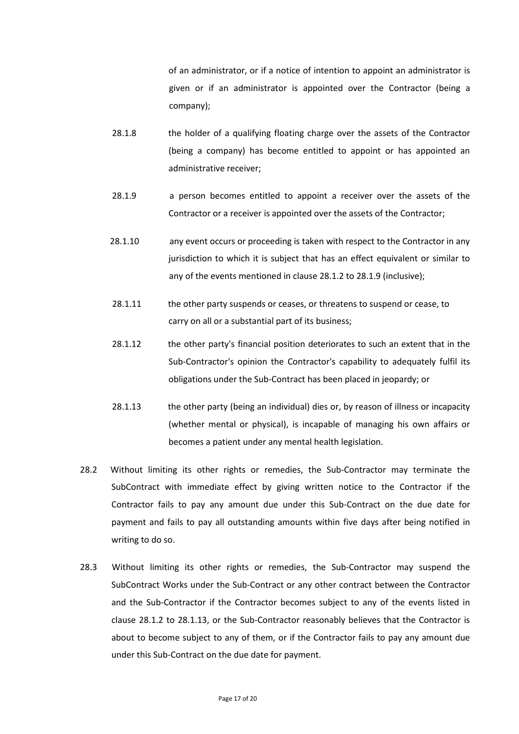of an administrator, or if a notice of intention to appoint an administrator is given or if an administrator is appointed over the Contractor (being a company);

- 28.1.8 the holder of a qualifying floating charge over the assets of the Contractor (being a company) has become entitled to appoint or has appointed an administrative receiver;
- 28.1.9 a person becomes entitled to appoint a receiver over the assets of the Contractor or a receiver is appointed over the assets of the Contractor;
- 28.1.10 any event occurs or proceeding is taken with respect to the Contractor in any jurisdiction to which it is subject that has an effect equivalent or similar to any of the events mentioned in clause 28.1.2 to 28.1.9 (inclusive);
- 28.1.11 the other party suspends or ceases, or threatens to suspend or cease, to carry on all or a substantial part of its business;
- 28.1.12 the other party's financial position deteriorates to such an extent that in the Sub-Contractor's opinion the Contractor's capability to adequately fulfil its obligations under the Sub-Contract has been placed in jeopardy; or
- 28.1.13 the other party (being an individual) dies or, by reason of illness or incapacity (whether mental or physical), is incapable of managing his own affairs or becomes a patient under any mental health legislation.
- 28.2 Without limiting its other rights or remedies, the Sub-Contractor may terminate the SubContract with immediate effect by giving written notice to the Contractor if the Contractor fails to pay any amount due under this Sub-Contract on the due date for payment and fails to pay all outstanding amounts within five days after being notified in writing to do so.
- 28.3 Without limiting its other rights or remedies, the Sub-Contractor may suspend the SubContract Works under the Sub-Contract or any other contract between the Contractor and the Sub-Contractor if the Contractor becomes subject to any of the events listed in clause 28.1.2 to 28.1.13, or the Sub-Contractor reasonably believes that the Contractor is about to become subject to any of them, or if the Contractor fails to pay any amount due under this Sub-Contract on the due date for payment.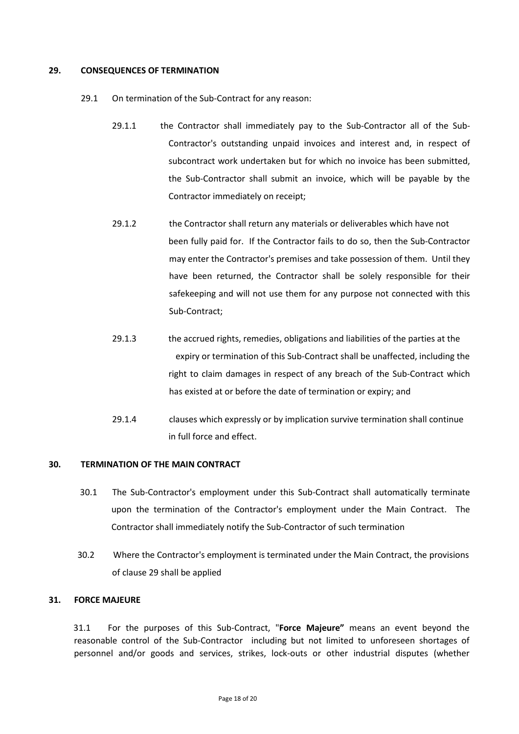### **29. CONSEQUENCES OF TERMINATION**

- 29.1 On termination of the Sub-Contract for any reason:
	- 29.1.1 the Contractor shall immediately pay to the Sub-Contractor all of the Sub-Contractor's outstanding unpaid invoices and interest and, in respect of subcontract work undertaken but for which no invoice has been submitted, the Sub-Contractor shall submit an invoice, which will be payable by the Contractor immediately on receipt;
	- 29.1.2 the Contractor shall return any materials or deliverables which have not been fully paid for. If the Contractor fails to do so, then the Sub-Contractor may enter the Contractor's premises and take possession of them. Until they have been returned, the Contractor shall be solely responsible for their safekeeping and will not use them for any purpose not connected with this Sub-Contract;
	- 29.1.3 the accrued rights, remedies, obligations and liabilities of the parties at the expiry or termination of this Sub-Contract shall be unaffected, including the right to claim damages in respect of any breach of the Sub-Contract which has existed at or before the date of termination or expiry; and
	- 29.1.4 clauses which expressly or by implication survive termination shall continue in full force and effect.

#### **30. TERMINATION OF THE MAIN CONTRACT**

- 30.1 The Sub-Contractor's employment under this Sub-Contract shall automatically terminate upon the termination of the Contractor's employment under the Main Contract. The Contractor shall immediately notify the Sub-Contractor of such termination
- 30.2 Where the Contractor's employment is terminated under the Main Contract, the provisions of clause 29 shall be applied

## **31. FORCE MAJEURE**

31.1 For the purposes of this Sub-Contract, "**Force Majeure"** means an event beyond the reasonable control of the Sub-Contractor including but not limited to unforeseen shortages of personnel and/or goods and services, strikes, lock-outs or other industrial disputes (whether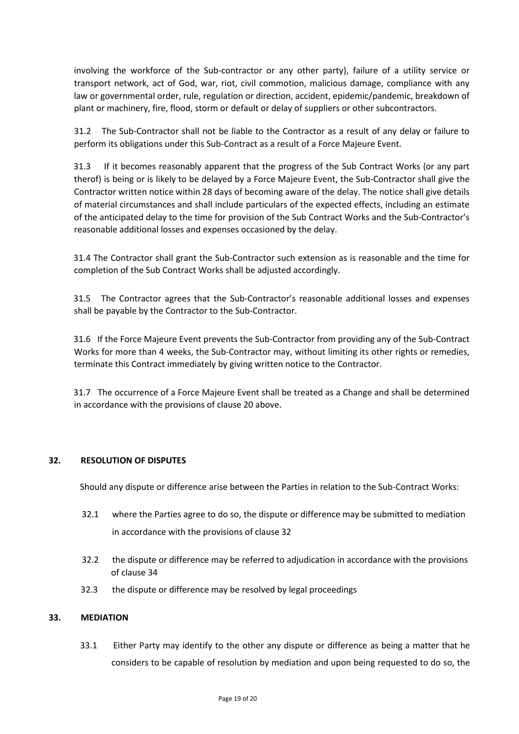involving the workforce of the Sub-contractor or any other party), failure of a utility service or transport network, act of God, war, riot, civil commotion, malicious damage, compliance with any law or governmental order, rule, regulation or direction, accident, epidemic/pandemic, breakdown of plant or machinery, fire, flood, storm or default or delay of suppliers or other subcontractors.

31.2 The Sub-Contractor shall not be liable to the Contractor as a result of any delay or failure to perform its obligations under this Sub-Contract as a result of a Force Majeure Event.

31.3 If it becomes reasonably apparent that the progress of the Sub Contract Works (or any part therof) is being or is likely to be delayed by a Force Majeure Event, the Sub-Contractor shall give the Contractor written notice within 28 days of becoming aware of the delay. The notice shall give details of material circumstances and shall include particulars of the expected effects, including an estimate of the anticipated delay to the time for provision of the Sub Contract Works and the Sub-Contractor's reasonable additional losses and expenses occasioned by the delay.

31.4 The Contractor shall grant the Sub-Contractor such extension as is reasonable and the time for completion of the Sub Contract Works shall be adjusted accordingly.

31.5 The Contractor agrees that the Sub-Contractor's reasonable additional losses and expenses shall be payable by the Contractor to the Sub-Contractor.

31.6 If the Force Majeure Event prevents the Sub-Contractor from providing any of the Sub-Contract Works for more than 4 weeks, the Sub-Contractor may, without limiting its other rights or remedies, terminate this Contract immediately by giving written notice to the Contractor.

31.7 The occurrence of a Force Majeure Event shall be treated as a Change and shall be determined in accordance with the provisions of clause 20 above.

# **32. RESOLUTION OF DISPUTES**

Should any dispute or difference arise between the Parties in relation to the Sub-Contract Works:

- 32.1 where the Parties agree to do so, the dispute or difference may be submitted to mediation in accordance with the provisions of clause 32
- 32.2 the dispute or difference may be referred to adjudication in accordance with the provisions of clause 34
- 32.3 the dispute or difference may be resolved by legal proceedings

## **33. MEDIATION**

33.1 Either Party may identify to the other any dispute or difference as being a matter that he considers to be capable of resolution by mediation and upon being requested to do so, the